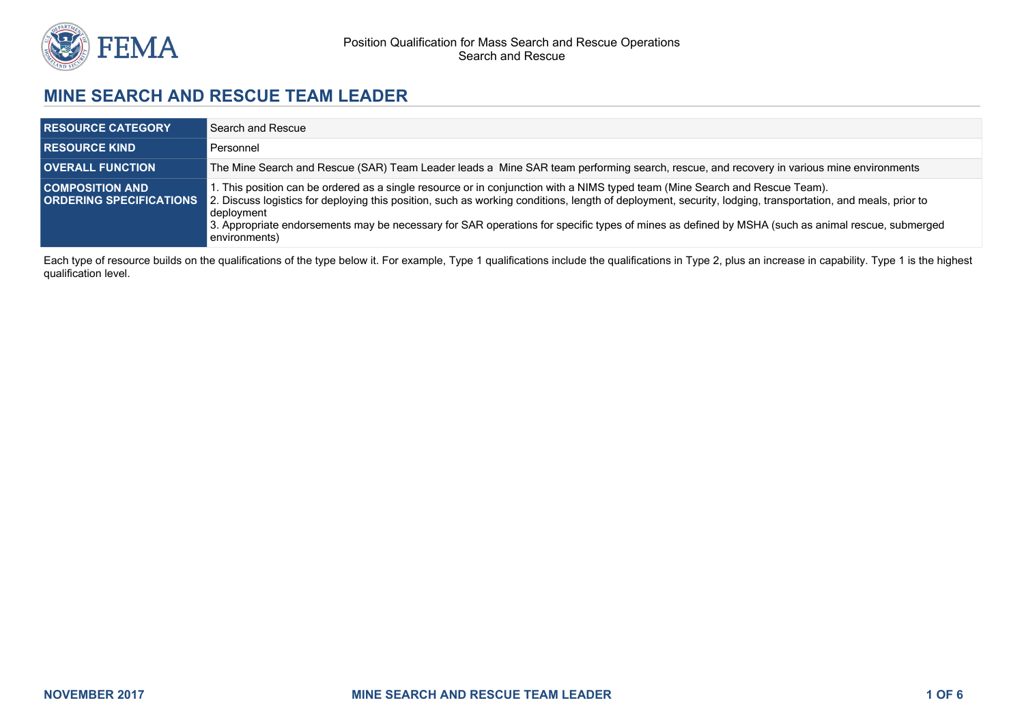

# **MINE SEARCH AND RESCUE TEAM LEADER**

| <b>RESOURCE CATEGORY</b> | Search and Rescue                                                                                                                                                                                                                                                                                                                                                                                                                                                                                           |
|--------------------------|-------------------------------------------------------------------------------------------------------------------------------------------------------------------------------------------------------------------------------------------------------------------------------------------------------------------------------------------------------------------------------------------------------------------------------------------------------------------------------------------------------------|
| <b>RESOURCE KIND</b>     | Personnel                                                                                                                                                                                                                                                                                                                                                                                                                                                                                                   |
| <b>OVERALL FUNCTION</b>  | The Mine Search and Rescue (SAR) Team Leader leads a Mine SAR team performing search, rescue, and recovery in various mine environments                                                                                                                                                                                                                                                                                                                                                                     |
| <b>COMPOSITION AND</b>   | . This position can be ordered as a single resource or in conjunction with a NIMS typed team (Mine Search and Rescue Team).<br><b>ORDERING SPECIFICATIONS</b> 2. Discuss logistics for deploying this position, such as working conditions, length of deployment, security, lodging, transportation, and meals, prior to<br>deployment<br>3. Appropriate endorsements may be necessary for SAR operations for specific types of mines as defined by MSHA (such as animal rescue, submerged<br>environments) |

Each type of resource builds on the qualifications of the type below it. For example, Type 1 qualifications include the qualifications in Type 2, plus an increase in capability. Type 1 is the highest qualification level.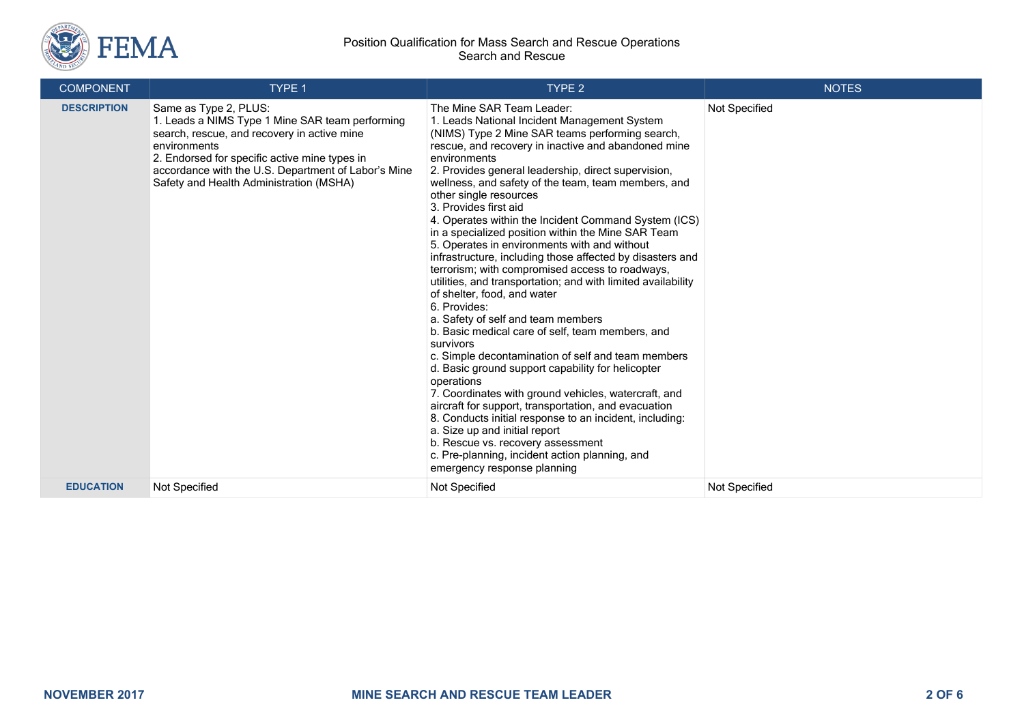

| <b>COMPONENT</b>   | TYPE 1                                                                                                                                                                                                                                                                                     | TYPE <sub>2</sub>                                                                                                                                                                                                                                                                                                                                                                                                                                                                                                                                                                                                                                                                                                                                                                                                                                                                                                                                                                                                                                                                                                                                                                                                                                                                                                                   | <b>NOTES</b>  |
|--------------------|--------------------------------------------------------------------------------------------------------------------------------------------------------------------------------------------------------------------------------------------------------------------------------------------|-------------------------------------------------------------------------------------------------------------------------------------------------------------------------------------------------------------------------------------------------------------------------------------------------------------------------------------------------------------------------------------------------------------------------------------------------------------------------------------------------------------------------------------------------------------------------------------------------------------------------------------------------------------------------------------------------------------------------------------------------------------------------------------------------------------------------------------------------------------------------------------------------------------------------------------------------------------------------------------------------------------------------------------------------------------------------------------------------------------------------------------------------------------------------------------------------------------------------------------------------------------------------------------------------------------------------------------|---------------|
| <b>DESCRIPTION</b> | Same as Type 2, PLUS:<br>1. Leads a NIMS Type 1 Mine SAR team performing<br>search, rescue, and recovery in active mine<br>environments<br>2. Endorsed for specific active mine types in<br>accordance with the U.S. Department of Labor's Mine<br>Safety and Health Administration (MSHA) | The Mine SAR Team Leader:<br>1. Leads National Incident Management System<br>(NIMS) Type 2 Mine SAR teams performing search,<br>rescue, and recovery in inactive and abandoned mine<br>environments<br>2. Provides general leadership, direct supervision,<br>wellness, and safety of the team, team members, and<br>other single resources<br>3. Provides first aid<br>4. Operates within the Incident Command System (ICS)<br>in a specialized position within the Mine SAR Team<br>5. Operates in environments with and without<br>infrastructure, including those affected by disasters and<br>terrorism; with compromised access to roadways,<br>utilities, and transportation; and with limited availability<br>of shelter, food, and water<br>6. Provides:<br>a. Safety of self and team members<br>b. Basic medical care of self, team members, and<br>survivors<br>c. Simple decontamination of self and team members<br>d. Basic ground support capability for helicopter<br>operations<br>7. Coordinates with ground vehicles, watercraft, and<br>aircraft for support, transportation, and evacuation<br>8. Conducts initial response to an incident, including:<br>a. Size up and initial report<br>b. Rescue vs. recovery assessment<br>c. Pre-planning, incident action planning, and<br>emergency response planning | Not Specified |
| <b>EDUCATION</b>   | Not Specified                                                                                                                                                                                                                                                                              | <b>Not Specified</b>                                                                                                                                                                                                                                                                                                                                                                                                                                                                                                                                                                                                                                                                                                                                                                                                                                                                                                                                                                                                                                                                                                                                                                                                                                                                                                                | Not Specified |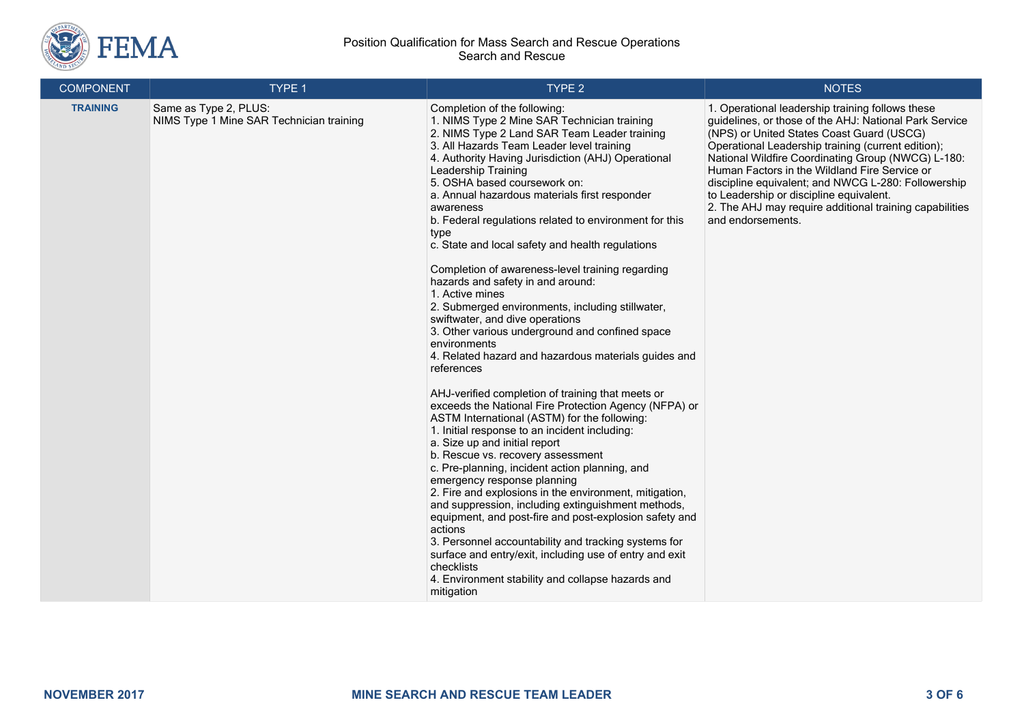

| <b>COMPONENT</b> | TYPE 1                                                            | <b>TYPE 2</b>                                                                                                                                                                                                                                                                                                                                                                                                                                                                                                                                                                                                                                                                                                                                                                                                                                                                                                                                                                                                                                                                                                                                                                                                                                                                                                                                                                                                                                                                                                                                                                        | <b>NOTES</b>                                                                                                                                                                                                                                                                                                                                                                                                                                                                                           |
|------------------|-------------------------------------------------------------------|--------------------------------------------------------------------------------------------------------------------------------------------------------------------------------------------------------------------------------------------------------------------------------------------------------------------------------------------------------------------------------------------------------------------------------------------------------------------------------------------------------------------------------------------------------------------------------------------------------------------------------------------------------------------------------------------------------------------------------------------------------------------------------------------------------------------------------------------------------------------------------------------------------------------------------------------------------------------------------------------------------------------------------------------------------------------------------------------------------------------------------------------------------------------------------------------------------------------------------------------------------------------------------------------------------------------------------------------------------------------------------------------------------------------------------------------------------------------------------------------------------------------------------------------------------------------------------------|--------------------------------------------------------------------------------------------------------------------------------------------------------------------------------------------------------------------------------------------------------------------------------------------------------------------------------------------------------------------------------------------------------------------------------------------------------------------------------------------------------|
| <b>TRAINING</b>  | Same as Type 2, PLUS:<br>NIMS Type 1 Mine SAR Technician training | Completion of the following:<br>1. NIMS Type 2 Mine SAR Technician training<br>2. NIMS Type 2 Land SAR Team Leader training<br>3. All Hazards Team Leader level training<br>4. Authority Having Jurisdiction (AHJ) Operational<br>Leadership Training<br>5. OSHA based coursework on:<br>a. Annual hazardous materials first responder<br>awareness<br>b. Federal regulations related to environment for this<br>type<br>c. State and local safety and health regulations<br>Completion of awareness-level training regarding<br>hazards and safety in and around:<br>1. Active mines<br>2. Submerged environments, including stillwater,<br>swiftwater, and dive operations<br>3. Other various underground and confined space<br>environments<br>4. Related hazard and hazardous materials guides and<br>references<br>AHJ-verified completion of training that meets or<br>exceeds the National Fire Protection Agency (NFPA) or<br>ASTM International (ASTM) for the following:<br>1. Initial response to an incident including:<br>a. Size up and initial report<br>b. Rescue vs. recovery assessment<br>c. Pre-planning, incident action planning, and<br>emergency response planning<br>2. Fire and explosions in the environment, mitigation,<br>and suppression, including extinguishment methods,<br>equipment, and post-fire and post-explosion safety and<br>actions<br>3. Personnel accountability and tracking systems for<br>surface and entry/exit, including use of entry and exit<br>checklists<br>4. Environment stability and collapse hazards and<br>mitigation | 1. Operational leadership training follows these<br>guidelines, or those of the AHJ: National Park Service<br>(NPS) or United States Coast Guard (USCG)<br>Operational Leadership training (current edition);<br>National Wildfire Coordinating Group (NWCG) L-180:<br>Human Factors in the Wildland Fire Service or<br>discipline equivalent; and NWCG L-280: Followership<br>to Leadership or discipline equivalent.<br>2. The AHJ may require additional training capabilities<br>and endorsements. |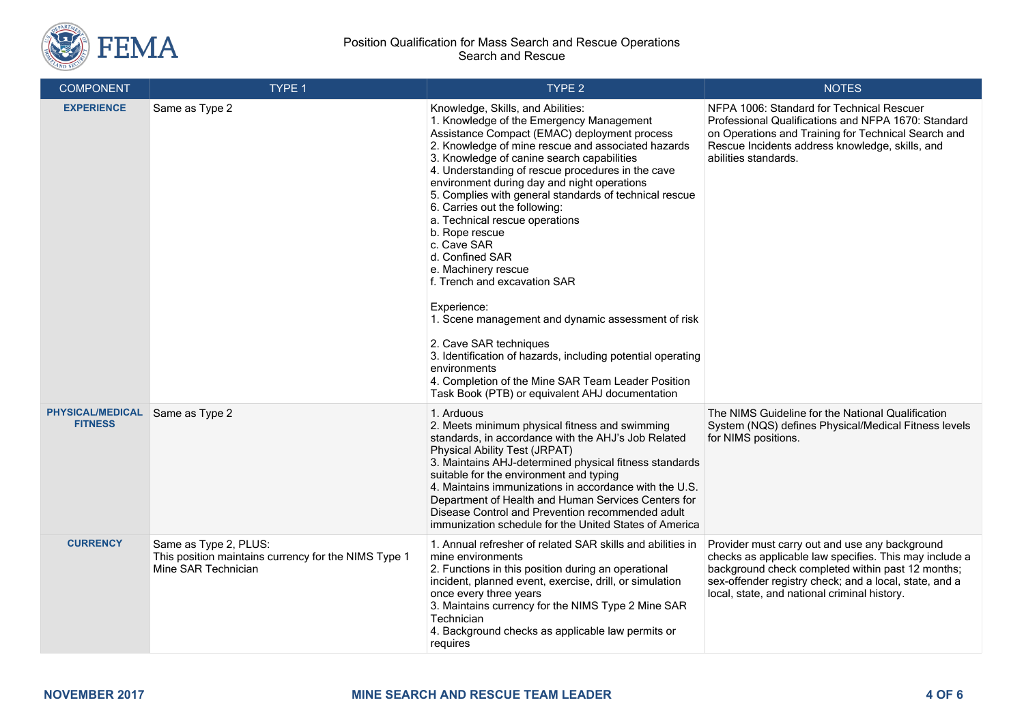

| <b>COMPONENT</b>                          | TYPE 1                                                                                               | TYPE <sub>2</sub>                                                                                                                                                                                                                                                                                                                                                                                                                                                                                                                                                                                                                                                                                                                                                                                                                                                    | <b>NOTES</b>                                                                                                                                                                                                                                                            |
|-------------------------------------------|------------------------------------------------------------------------------------------------------|----------------------------------------------------------------------------------------------------------------------------------------------------------------------------------------------------------------------------------------------------------------------------------------------------------------------------------------------------------------------------------------------------------------------------------------------------------------------------------------------------------------------------------------------------------------------------------------------------------------------------------------------------------------------------------------------------------------------------------------------------------------------------------------------------------------------------------------------------------------------|-------------------------------------------------------------------------------------------------------------------------------------------------------------------------------------------------------------------------------------------------------------------------|
| <b>EXPERIENCE</b>                         | Same as Type 2                                                                                       | Knowledge, Skills, and Abilities:<br>1. Knowledge of the Emergency Management<br>Assistance Compact (EMAC) deployment process<br>2. Knowledge of mine rescue and associated hazards<br>3. Knowledge of canine search capabilities<br>4. Understanding of rescue procedures in the cave<br>environment during day and night operations<br>5. Complies with general standards of technical rescue<br>6. Carries out the following:<br>a. Technical rescue operations<br>b. Rope rescue<br>c. Cave SAR<br>d. Confined SAR<br>e. Machinery rescue<br>f. Trench and excavation SAR<br>Experience:<br>1. Scene management and dynamic assessment of risk<br>2. Cave SAR techniques<br>3. Identification of hazards, including potential operating<br>environments<br>4. Completion of the Mine SAR Team Leader Position<br>Task Book (PTB) or equivalent AHJ documentation | NFPA 1006: Standard for Technical Rescuer<br>Professional Qualifications and NFPA 1670: Standard<br>on Operations and Training for Technical Search and<br>Rescue Incidents address knowledge, skills, and<br>abilities standards.                                      |
| <b>PHYSICAL/MEDICAL</b><br><b>FITNESS</b> | Same as Type 2                                                                                       | 1. Arduous<br>2. Meets minimum physical fitness and swimming<br>standards, in accordance with the AHJ's Job Related<br><b>Physical Ability Test (JRPAT)</b><br>3. Maintains AHJ-determined physical fitness standards<br>suitable for the environment and typing<br>4. Maintains immunizations in accordance with the U.S.<br>Department of Health and Human Services Centers for<br>Disease Control and Prevention recommended adult<br>immunization schedule for the United States of America                                                                                                                                                                                                                                                                                                                                                                      | The NIMS Guideline for the National Qualification<br>System (NQS) defines Physical/Medical Fitness levels<br>for NIMS positions.                                                                                                                                        |
| <b>CURRENCY</b>                           | Same as Type 2, PLUS:<br>This position maintains currency for the NIMS Type 1<br>Mine SAR Technician | 1. Annual refresher of related SAR skills and abilities in<br>mine environments<br>2. Functions in this position during an operational<br>incident, planned event, exercise, drill, or simulation<br>once every three years<br>3. Maintains currency for the NIMS Type 2 Mine SAR<br>Technician<br>4. Background checks as applicable law permits or<br>requires                                                                                                                                                                                                                                                                                                                                                                                                                                                                                                     | Provider must carry out and use any background<br>checks as applicable law specifies. This may include a<br>background check completed within past 12 months;<br>sex-offender registry check; and a local, state, and a<br>local, state, and national criminal history. |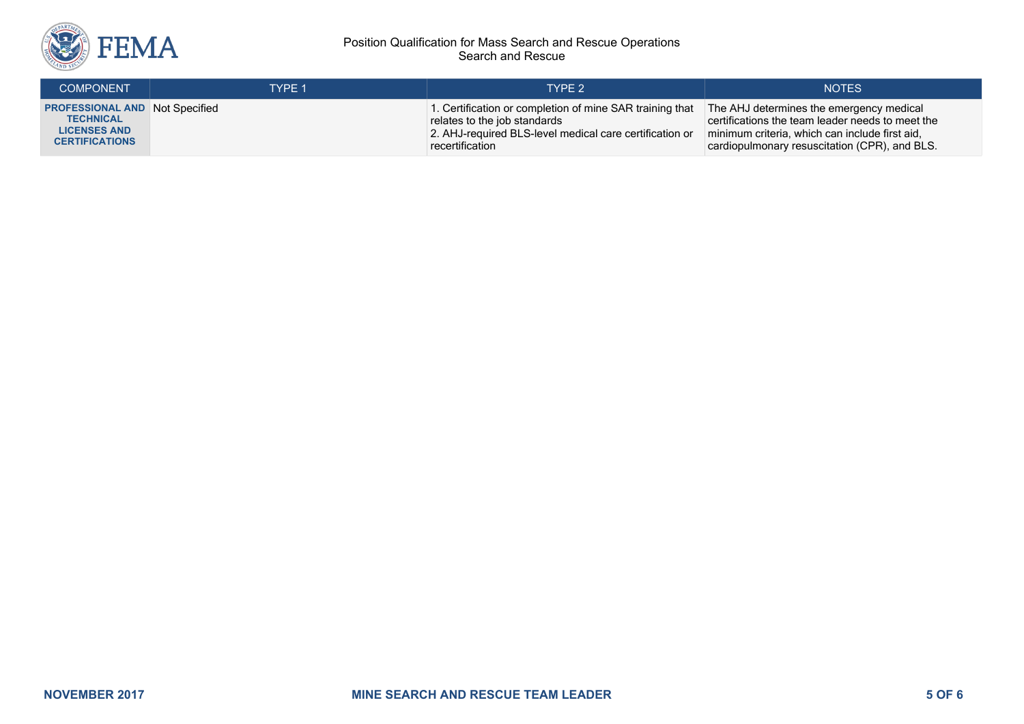

| <b>COMPONENT</b>                        | TYPE 1 | TYPE 2                                                   | <b>NOTES</b>                                     |
|-----------------------------------------|--------|----------------------------------------------------------|--------------------------------------------------|
| <b>PROFESSIONAL AND   Not Specified</b> |        | 1. Certification or completion of mine SAR training that | The AHJ determines the emergency medical         |
| <b>TECHNICAL</b>                        |        | relates to the job standards                             | certifications the team leader needs to meet the |
| <b>LICENSES AND</b>                     |        | 2. AHJ-required BLS-level medical care certification or  | minimum criteria, which can include first aid,   |
| <b>CERTIFICATIONS</b>                   |        | recertification                                          | cardiopulmonary resuscitation (CPR), and BLS.    |